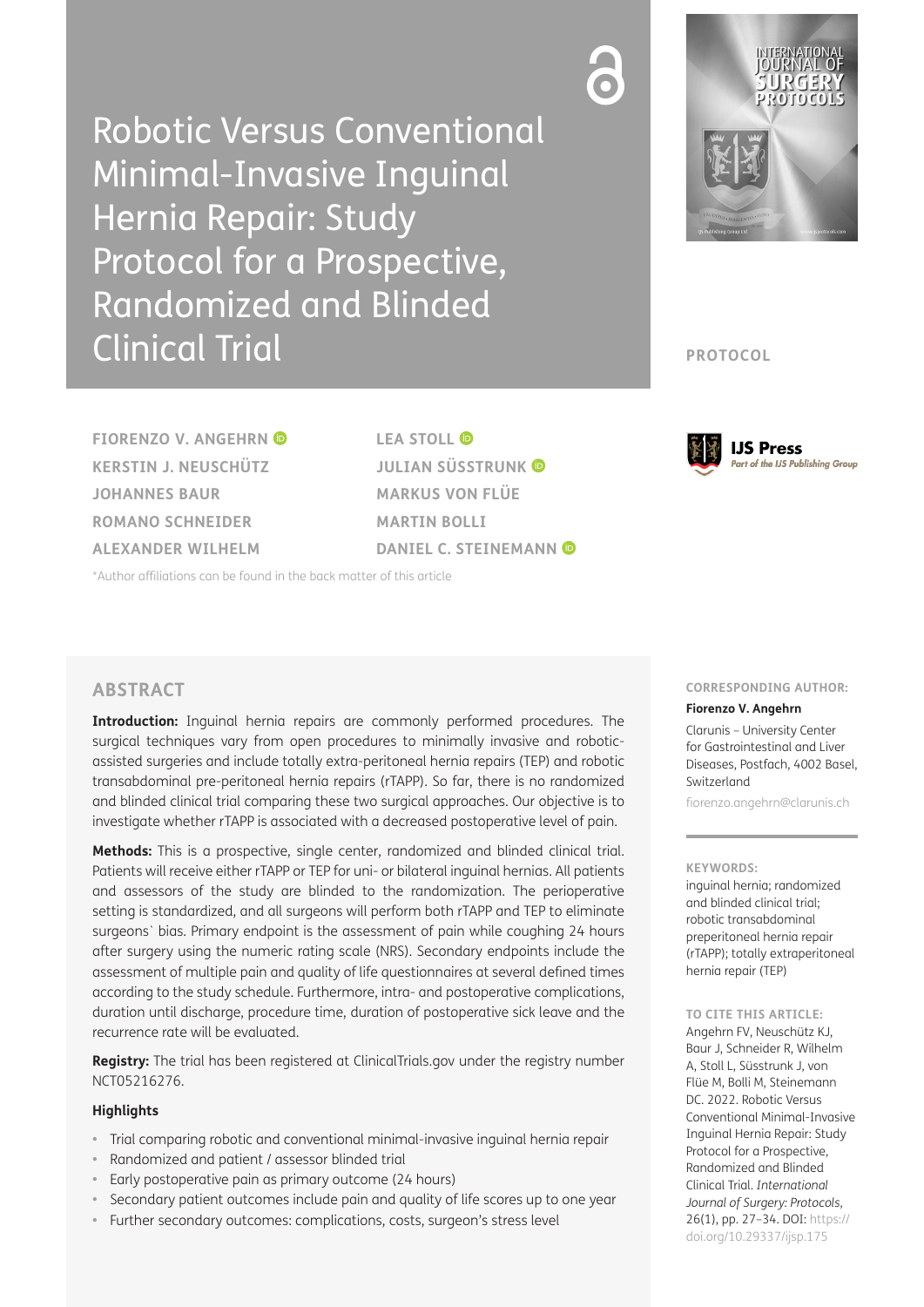Robotic Versus Conventional Minimal-Invasive Inguinal Hernia Repair: Study Protocol for a Prospective, Randomized and Blinded Clinical Trial



**PROTOCOL**

**FIORENZO V. ANGEHRN KERSTIN J. NEUSCHÜTZ JOHANNES BAUR ROMANO SCHNEIDER ALEXANDER WILHELM**

**LEA** STOLL<sup>**D**</sup> **JULIAN SÜSSTRUNK MARKUS VON FLÜE MARTIN BOLLI DANIEL C. STEINEMANN**

[\\*Author affiliations can be found in the back matter of this article](#page-5-0)

## **IJS Press** Part of the IJS Publishing Group

## **ABSTRACT**

**Introduction:** Inguinal hernia repairs are commonly performed procedures. The surgical techniques vary from open procedures to minimally invasive and roboticassisted surgeries and include totally extra-peritoneal hernia repairs (TEP) and robotic transabdominal pre-peritoneal hernia repairs (rTAPP). So far, there is no randomized and blinded clinical trial comparing these two surgical approaches. Our objective is to investigate whether rTAPP is associated with a decreased postoperative level of pain.

**Methods:** This is a prospective, single center, randomized and blinded clinical trial. Patients will receive either rTAPP or TEP for uni- or bilateral inguinal hernias. All patients and assessors of the study are blinded to the randomization. The perioperative setting is standardized, and all surgeons will perform both rTAPP and TEP to eliminate surgeons` bias. Primary endpoint is the assessment of pain while coughing 24 hours after surgery using the numeric rating scale (NRS). Secondary endpoints include the assessment of multiple pain and quality of life questionnaires at several defined times according to the study schedule. Furthermore, intra- and postoperative complications, duration until discharge, procedure time, duration of postoperative sick leave and the recurrence rate will be evaluated.

**Registry:** The trial has been registered at ClinicalTrials.gov under the registry number NCT05216276.

## **Highlights**

- **•**  Trial comparing robotic and conventional minimal-invasive inguinal hernia repair
- Randomized and patient / assessor blinded trial
- Early postoperative pain as primary outcome (24 hours)
- Secondary patient outcomes include pain and quality of life scores up to one year
- Further secondary outcomes: complications, costs, surgeon's stress level

### **CORRESPONDING AUTHOR:**

#### **Fiorenzo V. Angehrn**

Clarunis – University Center for Gastrointestinal and Liver Diseases, Postfach, 4002 Basel, Switzerland

[fiorenzo.angehrn@clarunis.ch](mailto:fiorenzo.angehrn@clarunis.ch)

#### **KEYWORDS:**

inguinal hernia; randomized and blinded clinical trial; robotic transabdominal preperitoneal hernia repair (rTAPP); totally extraperitoneal hernia repair (TEP)

#### **TO CITE THIS ARTICLE:**

Angehrn FV, Neuschütz KJ, Baur J, Schneider R, Wilhelm A, Stoll L, Süsstrunk J, von Flüe M, Bolli M, Steinemann DC. 2022. Robotic Versus Conventional Minimal-Invasive Inguinal Hernia Repair: Study Protocol for a Prospective, Randomized and Blinded Clinical Trial. *International Journal of Surgery: Protocols*, 26(1), pp. 27–34. DOI: [https://](https://doi.org/10.29337/ijsp.175) [doi.org/10.29337/ijsp.175](https://doi.org/10.29337/ijsp.175)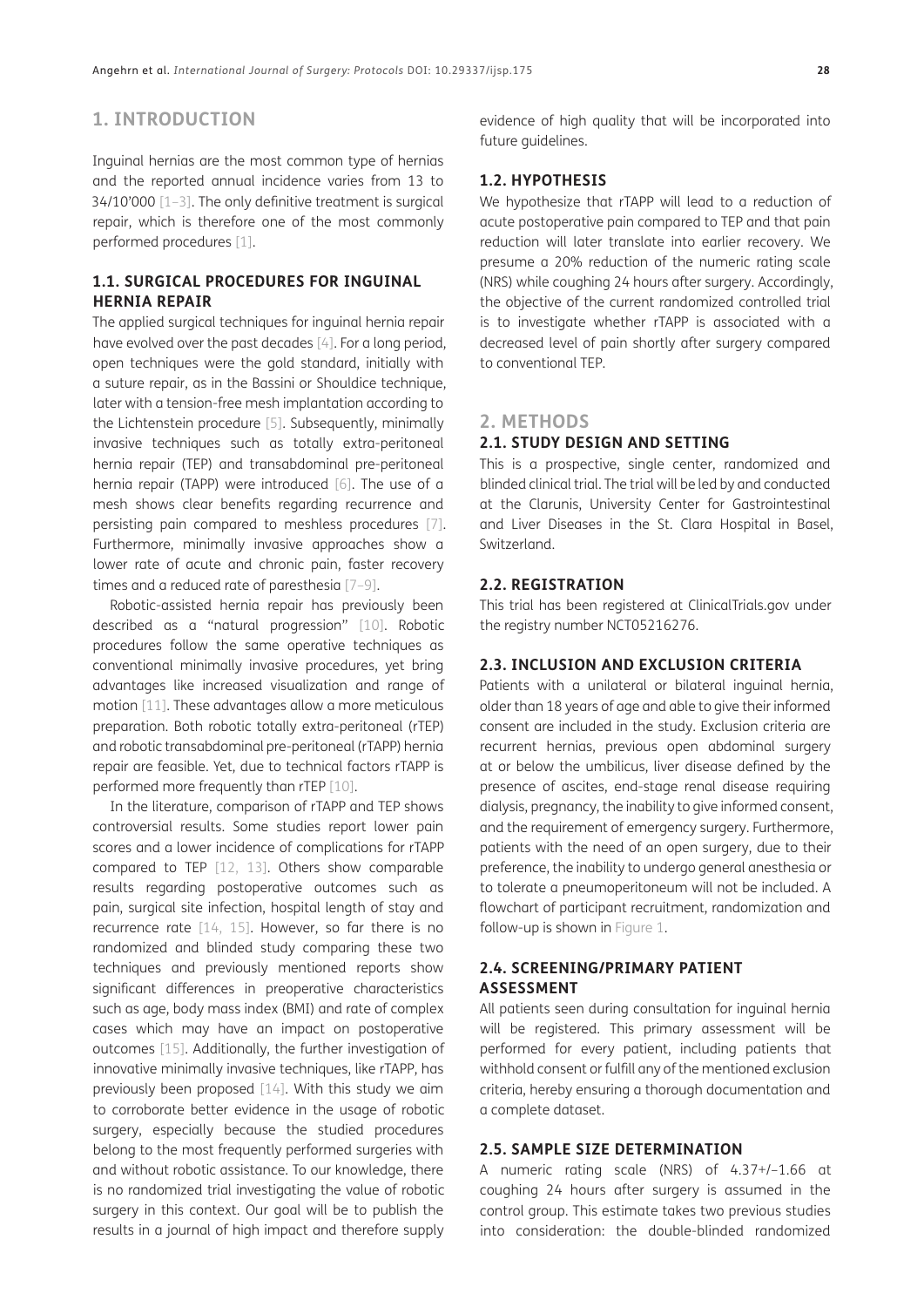# **1. INTRODUCTION**

Inguinal hernias are the most common type of hernias and the reported annual incidence varies from 13 to 34/10'000 [[1–](#page-6-0)[3](#page-6-1)]. The only definitive treatment is surgical repair, which is therefore one of the most commonly performed procedures [[1\]](#page-6-0).

## **1.1. SURGICAL PROCEDURES FOR INGUINAL HERNIA REPAIR**

The applied surgical techniques for inguinal hernia repair have evolved over the past decades [\[4](#page-6-2)]. For a long period, open techniques were the gold standard, initially with a suture repair, as in the Bassini or Shouldice technique, later with a tension-free mesh implantation according to the Lichtenstein procedure [[5](#page-6-3)]. Subsequently, minimally invasive techniques such as totally extra-peritoneal hernia repair (TEP) and transabdominal pre-peritoneal hernia repair (TAPP) were introduced [[6\]](#page-6-4). The use of a mesh shows clear benefits regarding recurrence and persisting pain compared to meshless procedures [\[7](#page-6-5)]. Furthermore, minimally invasive approaches show a lower rate of acute and chronic pain, faster recovery times and a reduced rate of paresthesia [\[7](#page-6-5)–[9\]](#page-6-6).

Robotic-assisted hernia repair has previously been described as a "natural progression" [\[10\]](#page-6-7). Robotic procedures follow the same operative techniques as conventional minimally invasive procedures, yet bring advantages like increased visualization and range of motion [\[11](#page-6-8)]. These advantages allow a more meticulous preparation. Both robotic totally extra-peritoneal (rTEP) and robotic transabdominal pre-peritoneal (rTAPP) hernia repair are feasible. Yet, due to technical factors rTAPP is performed more frequently than rTEP [\[10](#page-6-7)].

In the literature, comparison of rTAPP and TEP shows controversial results. Some studies report lower pain scores and a lower incidence of complications for rTAPP compared to TEP [\[12,](#page-6-9) [13](#page-6-10)]. Others show comparable results regarding postoperative outcomes such as pain, surgical site infection, hospital length of stay and recurrence rate [[14](#page-6-11), [15](#page-6-12)]. However, so far there is no randomized and blinded study comparing these two techniques and previously mentioned reports show significant differences in preoperative characteristics such as age, body mass index (BMI) and rate of complex cases which may have an impact on postoperative outcomes [[15](#page-6-12)]. Additionally, the further investigation of innovative minimally invasive techniques, like rTAPP, has previously been proposed [\[14\]](#page-6-11). With this study we aim to corroborate better evidence in the usage of robotic surgery, especially because the studied procedures belong to the most frequently performed surgeries with and without robotic assistance. To our knowledge, there is no randomized trial investigating the value of robotic surgery in this context. Our goal will be to publish the results in a journal of high impact and therefore supply evidence of high quality that will be incorporated into future guidelines.

## **1.2. HYPOTHESIS**

We hypothesize that rTAPP will lead to a reduction of acute postoperative pain compared to TEP and that pain reduction will later translate into earlier recovery. We presume a 20% reduction of the numeric rating scale (NRS) while coughing 24 hours after surgery. Accordingly, the objective of the current randomized controlled trial is to investigate whether rTAPP is associated with a decreased level of pain shortly after surgery compared to conventional TEP.

## **2. METHODS**

## **2.1. STUDY DESIGN AND SETTING**

This is a prospective, single center, randomized and blinded clinical trial. The trial will be led by and conducted at the Clarunis, University Center for Gastrointestinal and Liver Diseases in the St. Clara Hospital in Basel, Switzerland.

## **2.2. REGISTRATION**

This trial has been registered at ClinicalTrials.gov under the registry number NCT05216276.

## **2.3. INCLUSION AND EXCLUSION CRITERIA**

Patients with a unilateral or bilateral inguinal hernia, older than 18 years of age and able to give their informed consent are included in the study. Exclusion criteria are recurrent hernias, previous open abdominal surgery at or below the umbilicus, liver disease defined by the presence of ascites, end-stage renal disease requiring dialysis, pregnancy, the inability to give informed consent, and the requirement of emergency surgery. Furthermore, patients with the need of an open surgery, due to their preference, the inability to undergo general anesthesia or to tolerate a pneumoperitoneum will not be included. A flowchart of participant recruitment, randomization and follow-up is shown in [Figure 1](#page-2-0).

## **2.4. SCREENING/PRIMARY PATIENT ASSESSMENT**

All patients seen during consultation for inguinal hernia will be registered. This primary assessment will be performed for every patient, including patients that withhold consent or fulfill any of the mentioned exclusion criteria, hereby ensuring a thorough documentation and a complete dataset.

## **2.5. SAMPLE SIZE DETERMINATION**

A numeric rating scale (NRS) of 4.37+/–1.66 at coughing 24 hours after surgery is assumed in the control group. This estimate takes two previous studies into consideration: the double-blinded randomized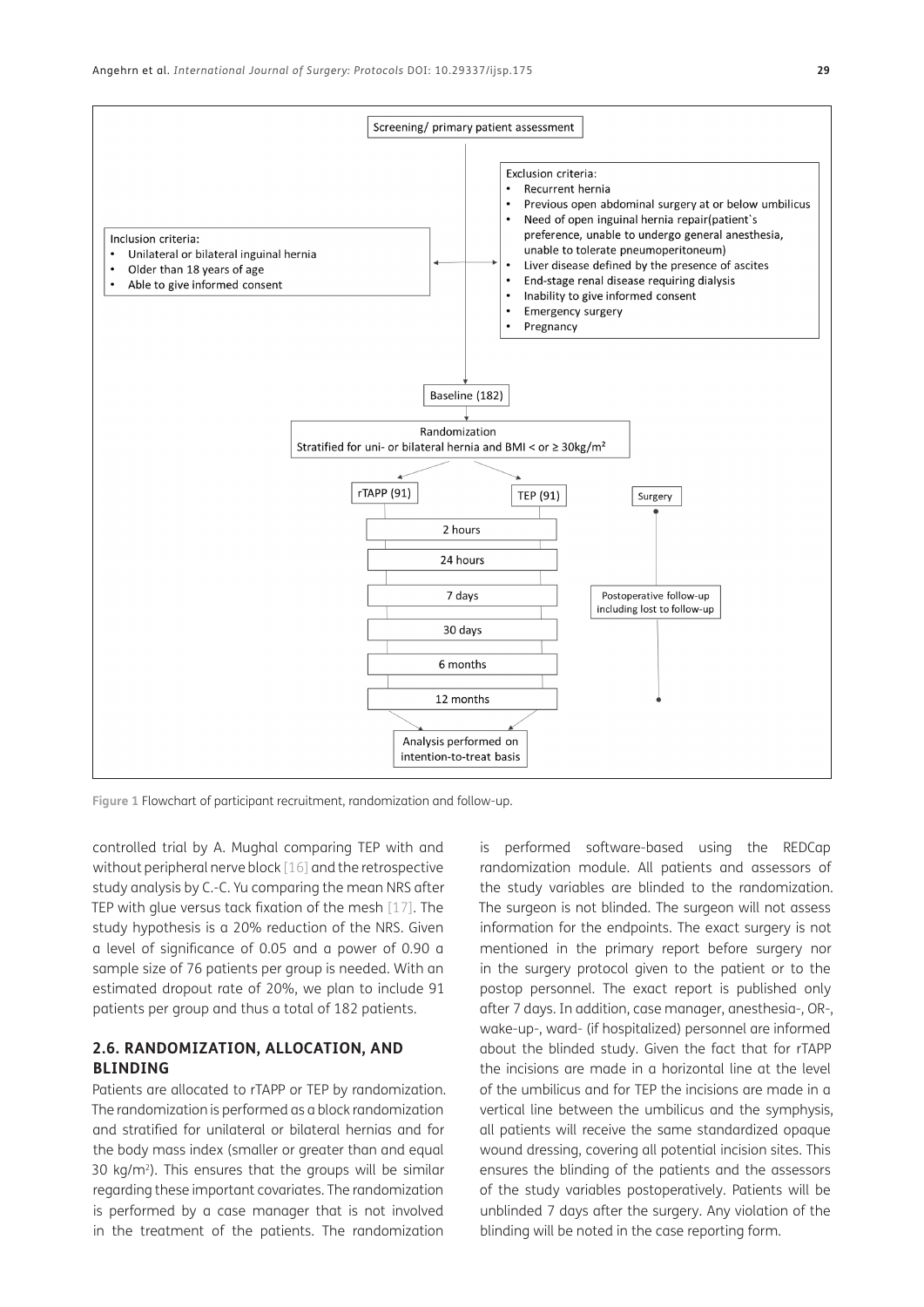

<span id="page-2-0"></span>**Figure 1** Flowchart of participant recruitment, randomization and follow-up.

controlled trial by A. Mughal comparing TEP with and without peripheral nerve block [[16](#page-6-13)] and the retrospective study analysis by C.-C. Yu comparing the mean NRS after TEP with glue versus tack fixation of the mesh [[17](#page-6-14)]. The study hypothesis is a 20% reduction of the NRS. Given a level of significance of 0.05 and a power of 0.90 a sample size of 76 patients per group is needed. With an estimated dropout rate of 20%, we plan to include 91 patients per group and thus a total of 182 patients.

## **2.6. RANDOMIZATION, ALLOCATION, AND BLINDING**

Patients are allocated to rTAPP or TEP by randomization. The randomization is performed as a block randomization and stratified for unilateral or bilateral hernias and for the body mass index (smaller or greater than and equal 30 kg/m2). This ensures that the groups will be similar regarding these important covariates. The randomization is performed by a case manager that is not involved in the treatment of the patients. The randomization

is performed software-based using the REDCap randomization module. All patients and assessors of the study variables are blinded to the randomization. The surgeon is not blinded. The surgeon will not assess information for the endpoints. The exact surgery is not mentioned in the primary report before surgery nor in the surgery protocol given to the patient or to the postop personnel. The exact report is published only after 7 days. In addition, case manager, anesthesia-, OR-, wake-up-, ward- (if hospitalized) personnel are informed about the blinded study. Given the fact that for rTAPP the incisions are made in a horizontal line at the level of the umbilicus and for TEP the incisions are made in a vertical line between the umbilicus and the symphysis, all patients will receive the same standardized opaque wound dressing, covering all potential incision sites. This ensures the blinding of the patients and the assessors of the study variables postoperatively. Patients will be unblinded 7 days after the surgery. Any violation of the blinding will be noted in the case reporting form.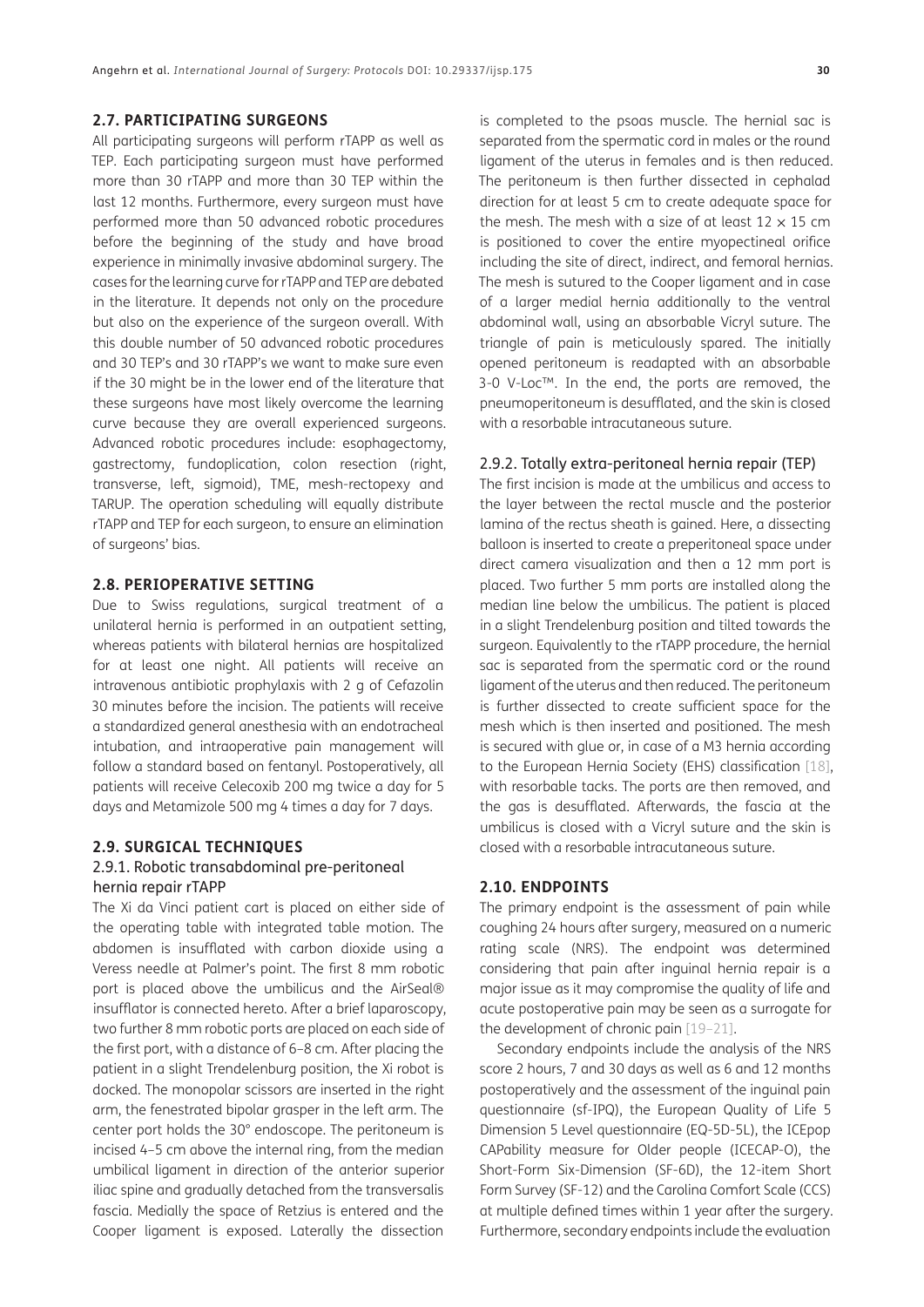## **2.7. PARTICIPATING SURGEONS**

All participating surgeons will perform rTAPP as well as TEP. Each participating surgeon must have performed more than 30 rTAPP and more than 30 TEP within the last 12 months. Furthermore, every surgeon must have performed more than 50 advanced robotic procedures before the beginning of the study and have broad experience in minimally invasive abdominal surgery. The cases for the learning curve for rTAPP and TEP are debated in the literature. It depends not only on the procedure but also on the experience of the surgeon overall. With this double number of 50 advanced robotic procedures and 30 TEP's and 30 rTAPP's we want to make sure even if the 30 might be in the lower end of the literature that these surgeons have most likely overcome the learning curve because they are overall experienced surgeons. Advanced robotic procedures include: esophagectomy, gastrectomy, fundoplication, colon resection (right, transverse, left, sigmoid), TME, mesh-rectopexy and TARUP. The operation scheduling will equally distribute rTAPP and TEP for each surgeon, to ensure an elimination of surgeons' bias.

## **2.8. PERIOPERATIVE SETTING**

Due to Swiss regulations, surgical treatment of a unilateral hernia is performed in an outpatient setting, whereas patients with bilateral hernias are hospitalized for at least one night. All patients will receive an intravenous antibiotic prophylaxis with 2 g of Cefazolin 30 minutes before the incision. The patients will receive a standardized general anesthesia with an endotracheal intubation, and intraoperative pain management will follow a standard based on fentanyl. Postoperatively, all patients will receive Celecoxib 200 mg twice a day for 5 days and Metamizole 500 mg 4 times a day for 7 days.

### **2.9. SURGICAL TECHNIQUES**

## 2.9.1. Robotic transabdominal pre-peritoneal hernia repair rTAPP

The Xi da Vinci patient cart is placed on either side of the operating table with integrated table motion. The abdomen is insufflated with carbon dioxide using a Veress needle at Palmer's point. The first 8 mm robotic port is placed above the umbilicus and the AirSeal® insufflator is connected hereto. After a brief laparoscopy, two further 8 mm robotic ports are placed on each side of the first port, with a distance of 6–8 cm. After placing the patient in a slight Trendelenburg position, the Xi robot is docked. The monopolar scissors are inserted in the right arm, the fenestrated bipolar grasper in the left arm. The center port holds the 30° endoscope. The peritoneum is incised 4–5 cm above the internal ring, from the median umbilical ligament in direction of the anterior superior iliac spine and gradually detached from the transversalis fascia. Medially the space of Retzius is entered and the Cooper ligament is exposed. Laterally the dissection

is completed to the psoas muscle. The hernial sac is separated from the spermatic cord in males or the round ligament of the uterus in females and is then reduced. The peritoneum is then further dissected in cephalad direction for at least 5 cm to create adequate space for the mesh. The mesh with a size of at least  $12 \times 15$  cm is positioned to cover the entire myopectineal orifice including the site of direct, indirect, and femoral hernias. The mesh is sutured to the Cooper ligament and in case of a larger medial hernia additionally to the ventral abdominal wall, using an absorbable Vicryl suture. The triangle of pain is meticulously spared. The initially opened peritoneum is readapted with an absorbable 3-0 V-Loc™. In the end, the ports are removed, the pneumoperitoneum is desufflated, and the skin is closed with a resorbable intracutaneous suture.

### 2.9.2. Totally extra-peritoneal hernia repair (TEP)

The first incision is made at the umbilicus and access to the layer between the rectal muscle and the posterior lamina of the rectus sheath is gained. Here, a dissecting balloon is inserted to create a preperitoneal space under direct camera visualization and then a 12 mm port is placed. Two further 5 mm ports are installed along the median line below the umbilicus. The patient is placed in a slight Trendelenburg position and tilted towards the surgeon. Equivalently to the rTAPP procedure, the hernial sac is separated from the spermatic cord or the round ligament of the uterus and then reduced. The peritoneum is further dissected to create sufficient space for the mesh which is then inserted and positioned. The mesh is secured with glue or, in case of a M3 hernia according to the European Hernia Society (EHS) classification [[18](#page-6-15)], with resorbable tacks. The ports are then removed, and the gas is desufflated. Afterwards, the fascia at the umbilicus is closed with a Vicryl suture and the skin is closed with a resorbable intracutaneous suture.

### **2.10. ENDPOINTS**

The primary endpoint is the assessment of pain while coughing 24 hours after surgery, measured on a numeric rating scale (NRS). The endpoint was determined considering that pain after inguinal hernia repair is a major issue as it may compromise the quality of life and acute postoperative pain may be seen as a surrogate for the development of chronic pain [[19](#page-6-16)–[21\]](#page-6-17).

Secondary endpoints include the analysis of the NRS score 2 hours, 7 and 30 days as well as 6 and 12 months postoperatively and the assessment of the inguinal pain questionnaire (sf-IPQ), the European Quality of Life 5 Dimension 5 Level questionnaire (EQ-5D-5L), the ICEpop CAPability measure for Older people (ICECAP-O), the Short-Form Six-Dimension (SF-6D), the 12-item Short Form Survey (SF-12) and the Carolina Comfort Scale (CCS) at multiple defined times within 1 year after the surgery. Furthermore, secondary endpoints include the evaluation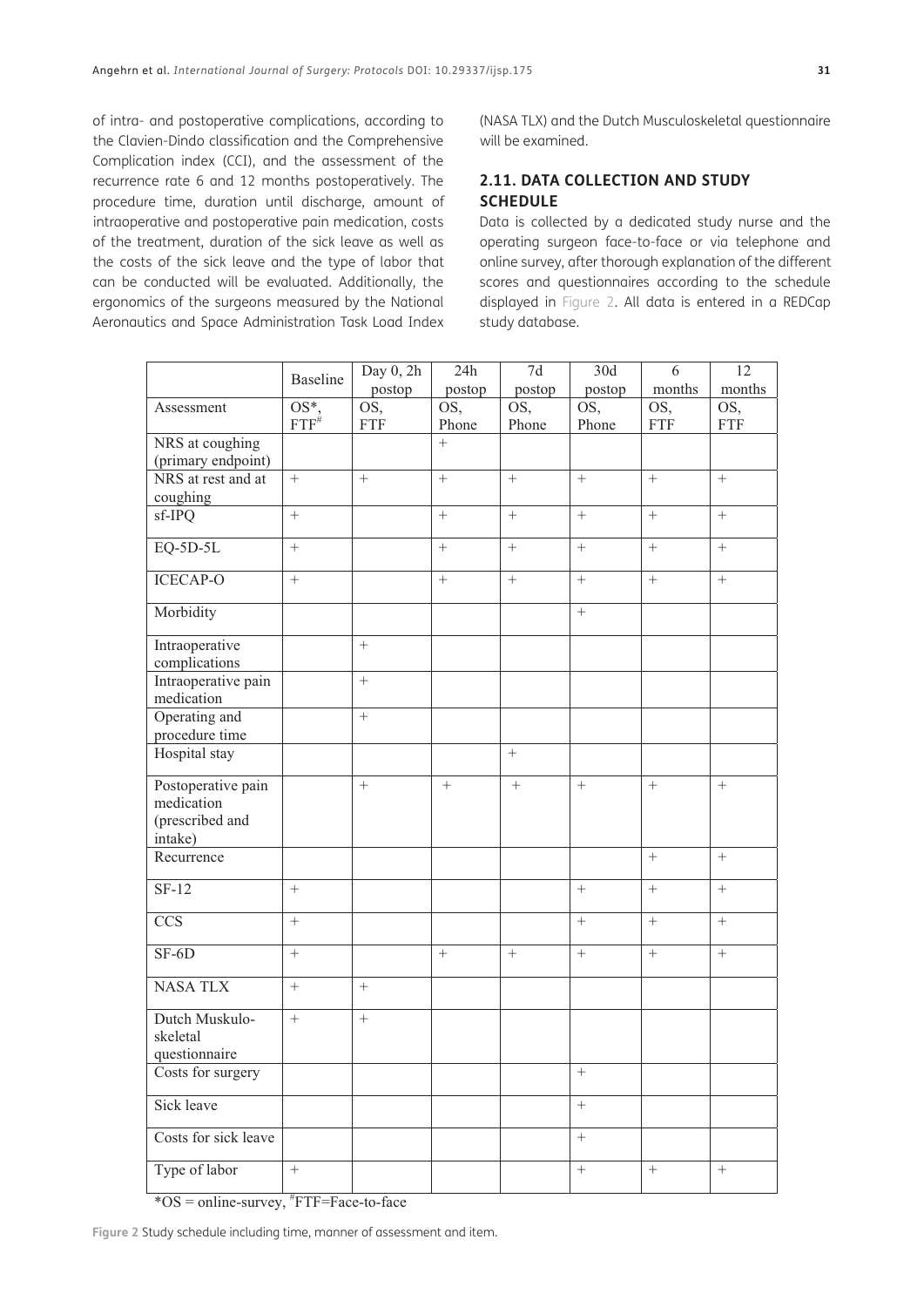of intra- and postoperative complications, according to the Clavien-Dindo classification and the Comprehensive Complication index (CCI), and the assessment of the recurrence rate 6 and 12 months postoperatively. The procedure time, duration until discharge, amount of intraoperative and postoperative pain medication, costs of the treatment, duration of the sick leave as well as the costs of the sick leave and the type of labor that can be conducted will be evaluated. Additionally, the ergonomics of the surgeons measured by the National Aeronautics and Space Administration Task Load Index

(NASA TLX) and the Dutch Musculoskeletal questionnaire will be examined.

## **2.11. DATA COLLECTION AND STUDY SCHEDULE**

Data is collected by a dedicated study nurse and the operating surgeon face-to-face or via telephone and online survey, after thorough explanation of the different scores and questionnaires according to the schedule displayed in [Figure 2](#page-4-0). All data is entered in a REDCap study database.

|                      |                  | Day $0, 2h$       | 24h       | $7d$             | 30d              | 6                 | 12                |
|----------------------|------------------|-------------------|-----------|------------------|------------------|-------------------|-------------------|
|                      | <b>Baseline</b>  | postop            | postop    | postop           | postop           | months            | months            |
| Assessment           | $OS^*$           | OS,               | OS,       | OS,              | OS,              | OS,               | OS,               |
|                      | $ETF^{\#}$       |                   |           |                  |                  |                   |                   |
|                      |                  | <b>FTF</b>        | Phone     | Phone            | Phone            | <b>FTF</b>        | <b>FTF</b>        |
| NRS at coughing      |                  |                   | $^{+}$    |                  |                  |                   |                   |
| (primary endpoint)   |                  |                   |           |                  |                  |                   |                   |
| NRS at rest and at   | $\boldsymbol{+}$ | $\boldsymbol{+}$  | $\! + \!$ | $\boldsymbol{+}$ | $\boldsymbol{+}$ | $\boldsymbol{+}$  | $\! + \!$         |
| coughing             |                  |                   |           |                  |                  |                   |                   |
| sf-IPQ               | $+$              |                   | $+$       | $^{+}$           | $+$              | $+$               | $+$               |
|                      |                  |                   |           |                  |                  |                   |                   |
| $EQ-5D-5L$           | $^{+}$           |                   | $^{+}$    | $^{+}$           | $+$              | $^{+}$            | $^{+}$            |
| <b>ICECAP-O</b>      | $^{+}$           |                   | $^{+}$    | $^{+}$           | $\boldsymbol{+}$ | $\! +$            |                   |
| Morbidity            |                  |                   |           |                  | $^{+}$           |                   |                   |
| Intraoperative       |                  | $\! +$            |           |                  |                  |                   |                   |
| complications        |                  |                   |           |                  |                  |                   |                   |
| Intraoperative pain  |                  | $\qquad \qquad +$ |           |                  |                  |                   |                   |
| medication           |                  |                   |           |                  |                  |                   |                   |
| Operating and        |                  | $\qquad \qquad +$ |           |                  |                  |                   |                   |
| procedure time       |                  |                   |           |                  |                  |                   |                   |
| Hospital stay        |                  |                   |           | $^{+}$           |                  |                   |                   |
|                      |                  |                   |           |                  |                  |                   |                   |
| Postoperative pain   |                  | $^{+}$            | $+$       | $+$              | $\boldsymbol{+}$ | $+$               | $\boldsymbol{+}$  |
| medication           |                  |                   |           |                  |                  |                   |                   |
| (prescribed and      |                  |                   |           |                  |                  |                   |                   |
| intake)              |                  |                   |           |                  |                  |                   |                   |
| Recurrence           |                  |                   |           |                  |                  | $\qquad \qquad +$ | $\overline{+}$    |
|                      |                  |                   |           |                  |                  |                   |                   |
| $SF-12$              | $\boldsymbol{+}$ |                   |           |                  | $\! +$           | $\! +$            | $\qquad \qquad +$ |
|                      |                  |                   |           |                  |                  |                   |                   |
| <b>CCS</b>           | $\boldsymbol{+}$ |                   |           |                  | $\! +$           | $\qquad \qquad +$ | $\ddot{}$         |
|                      |                  |                   |           |                  |                  |                   |                   |
| $SF-6D$              | $^{+}$           |                   | $^{+}$    | $^{+}$           | $\boldsymbol{+}$ | $\boldsymbol{+}$  | $\qquad \qquad +$ |
|                      |                  |                   |           |                  |                  |                   |                   |
| <b>NASA TLX</b>      | $\boldsymbol{+}$ | $\! +$            |           |                  |                  |                   |                   |
| Dutch Muskulo-       | $\boldsymbol{+}$ | $\boldsymbol{+}$  |           |                  |                  |                   |                   |
| skeletal             |                  |                   |           |                  |                  |                   |                   |
|                      |                  |                   |           |                  |                  |                   |                   |
| questionnaire        |                  |                   |           |                  |                  |                   |                   |
| Costs for surgery    |                  |                   |           |                  | $+$              |                   |                   |
| Sick leave           |                  |                   |           |                  | $\boldsymbol{+}$ |                   |                   |
| Costs for sick leave |                  |                   |           |                  | $\overline{+}$   |                   |                   |
| Type of labor        | $\boldsymbol{+}$ |                   |           |                  | $\boldsymbol{+}$ | $\boldsymbol{+}$  | $\boldsymbol{+}$  |

<span id="page-4-0"></span>*\*OS* = online-survey, <sup>#</sup>FTF=Face-to-face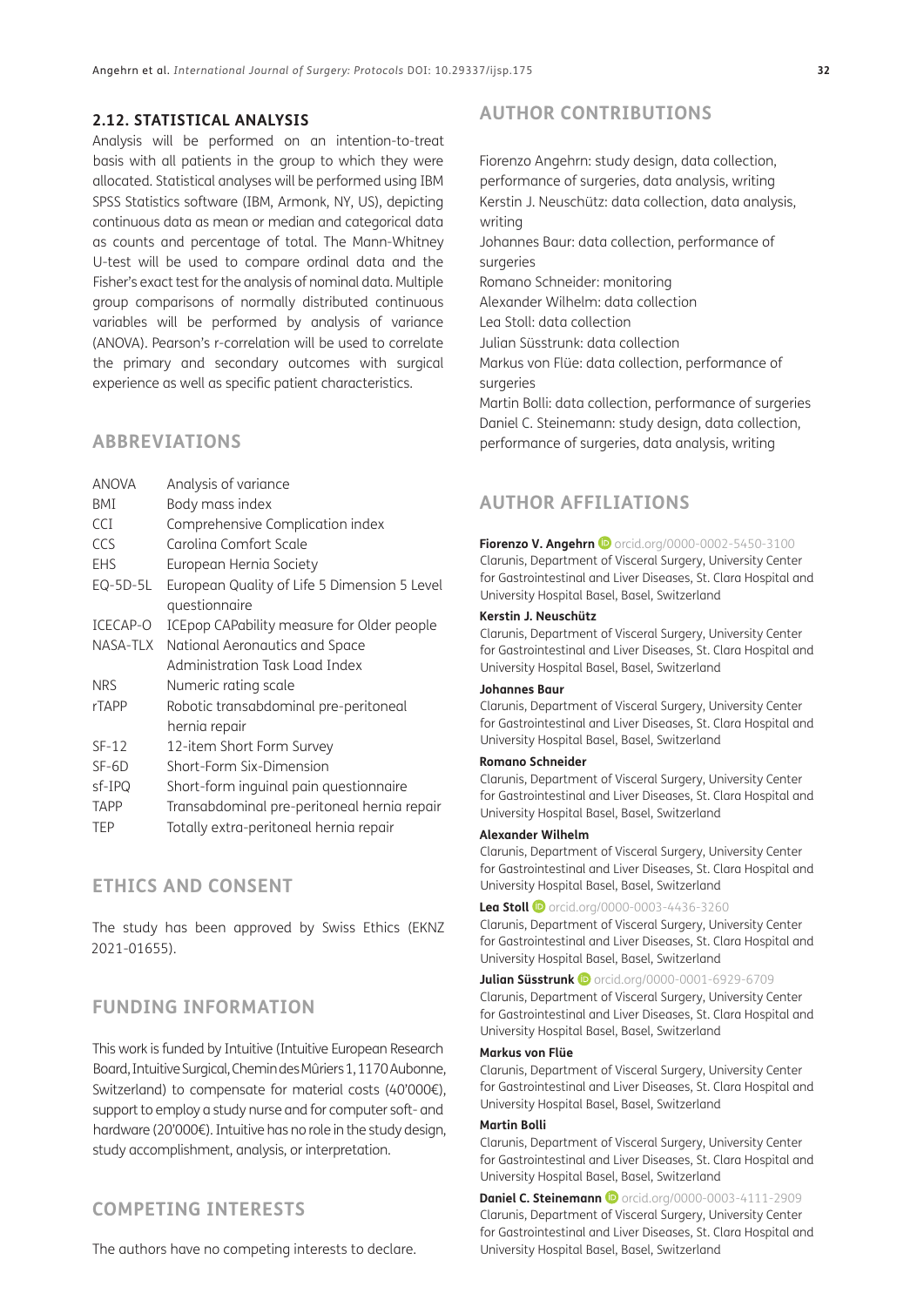## **2.12. STATISTICAL ANALYSIS**

Analysis will be performed on an intention-to-treat basis with all patients in the group to which they were allocated. Statistical analyses will be performed using IBM SPSS Statistics software (IBM, Armonk, NY, US), depicting continuous data as mean or median and categorical data as counts and percentage of total. The Mann-Whitney U-test will be used to compare ordinal data and the Fisher's exact test for the analysis of nominal data. Multiple group comparisons of normally distributed continuous variables will be performed by analysis of variance (ANOVA). Pearson's r-correlation will be used to correlate the primary and secondary outcomes with surgical experience as well as specific patient characteristics.

# **ABBREVIATIONS**

| <b>ANOVA</b> | Analysis of variance                         |
|--------------|----------------------------------------------|
| BMI          | Body mass index                              |
| <b>CCT</b>   | Comprehensive Complication index             |
| CCS          | Carolina Comfort Scale                       |
| <b>EHS</b>   | European Hernia Society                      |
| EQ-5D-5L     | European Quality of Life 5 Dimension 5 Level |
|              | questionnaire                                |
| ICECAP-O     | ICEpop CAPability measure for Older people   |
| NASA-TLX     | National Aeronautics and Space               |
|              | Administration Task Load Index               |
| <b>NRS</b>   | Numeric rating scale                         |
| rTAPP        | Robotic transabdominal pre-peritoneal        |
|              | hernia repair                                |
| $SF-12$      | 12-item Short Form Survey                    |
| $SF-6D$      | Short-Form Six-Dimension                     |
| sf-IPQ       | Short-form inguinal pain questionnaire       |
| <b>TAPP</b>  | Transabdominal pre-peritoneal hernia repair  |
| <b>TEP</b>   | Totally extra-peritoneal hernia repair       |

# **ETHICS AND CONSENT**

The study has been approved by Swiss Ethics (EKNZ 2021-01655).

## **FUNDING INFORMATION**

This work is funded by Intuitive (Intuitive European Research Board, Intuitive Surgical, Chemin des Mûriers 1, 1170 Aubonne, Switzerland) to compensate for material costs (40'000€), support to employ a study nurse and for computer soft- and hardware (20'000€). Intuitive has no role in the study design, study accomplishment, analysis, or interpretation.

# **COMPETING INTERESTS**

The authors have no competing interests to declare.

# **AUTHOR CONTRIBUTIONS**

Fiorenzo Angehrn: study design, data collection, performance of surgeries, data analysis, writing Kerstin J. Neuschütz: data collection, data analysis, writing

Johannes Baur: data collection, performance of surgeries

Romano Schneider: monitoring

Alexander Wilhelm: data collection Lea Stoll: data collection

Julian Süsstrunk: data collection

Markus von Flüe: data collection, performance of surgeries

Martin Bolli: data collection, performance of surgeries Daniel C. Steinemann: study design, data collection, performance of surgeries, data analysis, writing

# <span id="page-5-0"></span>**AUTHOR AFFILIATIONS**

#### **Fiorenzo V. Angehrn**  $\bullet$  [orcid.org/0000-0002-5450-3100](https://orcid.org/0000-0002-5450-3100)

Clarunis, Department of Visceral Surgery, University Center for Gastrointestinal and Liver Diseases, St. Clara Hospital and University Hospital Basel, Basel, Switzerland

#### **Kerstin J. Neuschütz**

Clarunis, Department of Visceral Surgery, University Center for Gastrointestinal and Liver Diseases, St. Clara Hospital and University Hospital Basel, Basel, Switzerland

### **Johannes Baur**

Clarunis, Department of Visceral Surgery, University Center for Gastrointestinal and Liver Diseases, St. Clara Hospital and University Hospital Basel, Basel, Switzerland

#### **Romano Schneider**

Clarunis, Department of Visceral Surgery, University Center for Gastrointestinal and Liver Diseases, St. Clara Hospital and University Hospital Basel, Basel, Switzerland

#### **Alexander Wilhelm**

Clarunis, Department of Visceral Surgery, University Center for Gastrointestinal and Liver Diseases, St. Clara Hospital and University Hospital Basel, Basel, Switzerland

### **Lea Stoll D** [orcid.org/0000-0003-4436-3260](https://orcid.org/0000-0003-4436-3260)

Clarunis, Department of Visceral Surgery, University Center for Gastrointestinal and Liver Diseases, St. Clara Hospital and University Hospital Basel, Basel, Switzerland

**Julian Süsstrunk D** [orcid.org/0000-0001-6929-6709](https://orcid.org/0000-0001-6929-6709) Clarunis, Department of Visceral Surgery, University Center for Gastrointestinal and Liver Diseases, St. Clara Hospital and University Hospital Basel, Basel, Switzerland

#### **Markus von Flüe**

Clarunis, Department of Visceral Surgery, University Center for Gastrointestinal and Liver Diseases, St. Clara Hospital and University Hospital Basel, Basel, Switzerland

#### **Martin Bolli**

Clarunis, Department of Visceral Surgery, University Center for Gastrointestinal and Liver Diseases, St. Clara Hospital and University Hospital Basel, Basel, Switzerland

**Daniel C. Steinemann** D[orcid.org/0000-0003-4111-2909](https://orcid.org/0000-0003-4111-2909) Clarunis, Department of Visceral Surgery, University Center for Gastrointestinal and Liver Diseases, St. Clara Hospital and University Hospital Basel, Basel, Switzerland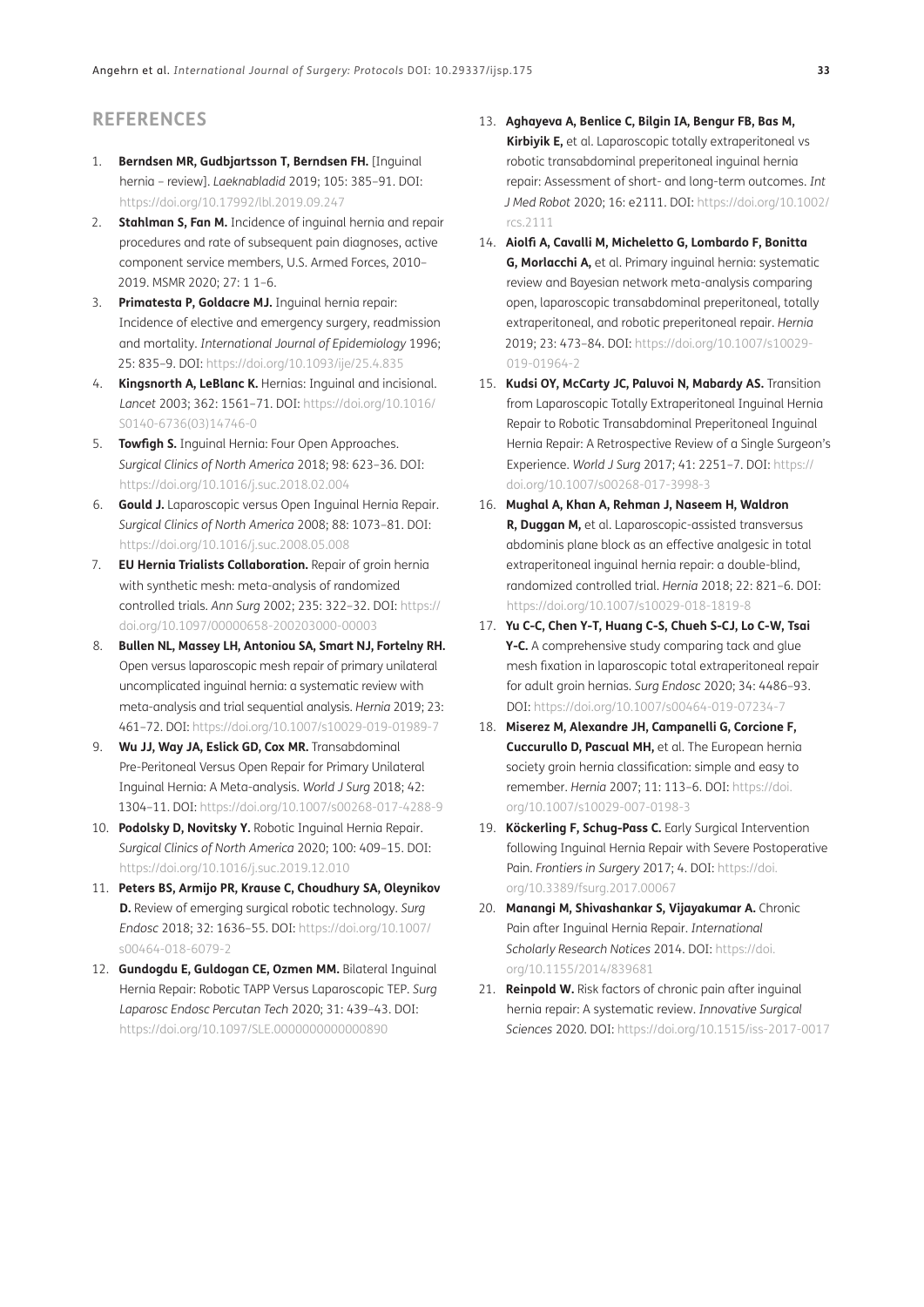# **REFERENCES**

- <span id="page-6-0"></span>1. **Berndsen MR, Gudbjartsson T, Berndsen FH.** [Inguinal hernia – review]. *Laeknabladid* 2019; 105: 385–91. DOI: <https://doi.org/10.17992/lbl.2019.09.247>
- 2. **Stahlman S, Fan M.** Incidence of inguinal hernia and repair procedures and rate of subsequent pain diagnoses, active component service members, U.S. Armed Forces, 2010– 2019. MSMR 2020; 27: 1 1–6.
- <span id="page-6-1"></span>3. **Primatesta P, Goldacre MJ.** Inguinal hernia repair: Incidence of elective and emergency surgery, readmission and mortality. *International Journal of Epidemiology* 1996; 25: 835–9. DOI: <https://doi.org/10.1093/ije/25.4.835>
- <span id="page-6-2"></span>4. **Kingsnorth A, LeBlanc K.** Hernias: Inguinal and incisional. *Lancet* 2003; 362: 1561–71. DOI: [https://doi.org/10.1016/](https://doi.org/10.1016/S0140-6736(03)14746-0) [S0140-6736\(03\)14746-0](https://doi.org/10.1016/S0140-6736(03)14746-0)
- <span id="page-6-3"></span>5. **Towfigh S.** Inguinal Hernia: Four Open Approaches. *Surgical Clinics of North America* 2018; 98: 623–36. DOI: [https://doi.org/10.1016/j.suc.2018.02.004](https://doi.org/10.1016/j.suc.2018.02.004 )
- <span id="page-6-4"></span>6. **Gould J.** Laparoscopic versus Open Inguinal Hernia Repair. *Surgical Clinics of North America* 2008; 88: 1073–81. DOI: [https://doi.org/10.1016/j.suc.2008.05.008](https://doi.org/10.1016/j.suc.2008.05.008 )
- <span id="page-6-5"></span>7. **EU Hernia Trialists Collaboration.** Repair of groin hernia with synthetic mesh: meta-analysis of randomized controlled trials. *Ann Surg* 2002; 235: 322–32. DOI: [https://](https://doi.org/10.1097/00000658-200203000-00003 ) [doi.org/10.1097/00000658-200203000-00003](https://doi.org/10.1097/00000658-200203000-00003 )
- 8. **Bullen NL, Massey LH, Antoniou SA, Smart NJ, Fortelny RH.** Open versus laparoscopic mesh repair of primary unilateral uncomplicated inguinal hernia: a systematic review with meta-analysis and trial sequential analysis. *Hernia* 2019; 23: 461–72. DOI: [https://doi.org/10.1007/s10029-019-01989-7](https://doi.org/10.1007/s10029-019-01989-7 )
- <span id="page-6-6"></span>9. **Wu JJ, Way JA, Eslick GD, Cox MR.** Transabdominal Pre-Peritoneal Versus Open Repair for Primary Unilateral Inguinal Hernia: A Meta-analysis. *World J Surg* 2018; 42: 1304–11. DOI: [https://doi.org/10.1007/s00268-017-4288-9](https://doi.org/10.1007/s00268-017-4288-9 )
- <span id="page-6-7"></span>10. **Podolsky D, Novitsky Y.** Robotic Inguinal Hernia Repair. *Surgical Clinics of North America* 2020; 100: 409–15. DOI: [https://doi.org/10.1016/j.suc.2019.12.010](https://doi.org/10.1016/j.suc.2019.12.010 )
- <span id="page-6-8"></span>11. **Peters BS, Armijo PR, Krause C, Choudhury SA, Oleynikov D.** Review of emerging surgical robotic technology. *Surg Endosc* 2018; 32: 1636–55. DOI: [https://doi.org/10.1007/](https://doi.org/10.1007/s00464-018-6079-2 ) [s00464-018-6079-2](https://doi.org/10.1007/s00464-018-6079-2 )
- <span id="page-6-9"></span>12. **Gundogdu E, Guldogan CE, Ozmen MM.** Bilateral Inguinal Hernia Repair: Robotic TAPP Versus Laparoscopic TEP. *Surg Laparosc Endosc Percutan Tech* 2020; 31: 439–43. DOI: [https://doi.org/10.1097/SLE.0000000000000890](https://doi.org/10.1097/SLE.0000000000000890 )
- <span id="page-6-10"></span>13. **Aghayeva A, Benlice C, Bilgin IA, Bengur FB, Bas M, Kirbiyik E,** et al. Laparoscopic totally extraperitoneal vs robotic transabdominal preperitoneal inguinal hernia repair: Assessment of short- and long-term outcomes. *Int J Med Robot* 2020; 16: e2111. DOI: [https://doi.org/10.1002/](https://doi.org/10.1002/rcs.2111 ) [rcs.2111](https://doi.org/10.1002/rcs.2111 )
- <span id="page-6-11"></span>14. **Aiolfi A, Cavalli M, Micheletto G, Lombardo F, Bonitta G, Morlacchi A,** et al. Primary inguinal hernia: systematic review and Bayesian network meta-analysis comparing open, laparoscopic transabdominal preperitoneal, totally extraperitoneal, and robotic preperitoneal repair. *Hernia*  2019; 23: 473–84. DOI: [https://doi.org/10.1007/s10029-](https://doi.org/10.1007/s10029-019-01964-2 ) [019-01964-2](https://doi.org/10.1007/s10029-019-01964-2 )
- <span id="page-6-12"></span>15. **Kudsi OY, McCarty JC, Paluvoi N, Mabardy AS.** Transition from Laparoscopic Totally Extraperitoneal Inguinal Hernia Repair to Robotic Transabdominal Preperitoneal Inguinal Hernia Repair: A Retrospective Review of a Single Surgeon's Experience. *World J Surg* 2017; 41: 2251–7. DOI: [https://](https://doi.org/10.1007/s00268-017-3998-3 ) [doi.org/10.1007/s00268-017-3998-3](https://doi.org/10.1007/s00268-017-3998-3 )
- <span id="page-6-13"></span>16. **Mughal A, Khan A, Rehman J, Naseem H, Waldron R, Duggan M,** et al. Laparoscopic-assisted transversus abdominis plane block as an effective analgesic in total extraperitoneal inguinal hernia repair: a double-blind, randomized controlled trial. *Hernia* 2018; 22: 821–6. DOI: [https://doi.org/10.1007/s10029-018-1819-8](https://doi.org/10.1007/s10029-018-1819-8 )
- <span id="page-6-14"></span>17. **Yu C-C, Chen Y-T, Huang C-S, Chueh S-CJ, Lo C-W, Tsai Y-C.** A comprehensive study comparing tack and glue mesh fixation in laparoscopic total extraperitoneal repair for adult groin hernias. *Surg Endosc* 2020; 34: 4486–93. DOI: [https://doi.org/10.1007/s00464-019-07234-7](https://doi.org/10.1007/s00464-019-07234-7 )
- <span id="page-6-15"></span>18. **Miserez M, Alexandre JH, Campanelli G, Corcione F, Cuccurullo D, Pascual MH,** et al. The European hernia society groin hernia classification: simple and easy to remember. *Hernia* 2007; 11: 113–6. DOI: [https://doi.](https://doi.org/10.1007/s10029-007-0198-3 ) [org/10.1007/s10029-007-0198-3](https://doi.org/10.1007/s10029-007-0198-3 )
- <span id="page-6-16"></span>19. **Köckerling F, Schug-Pass C.** Early Surgical Intervention following Inguinal Hernia Repair with Severe Postoperative Pain. Frontiers in Surgery 2017; 4. DOI: [https://doi.](https://doi.org/10.3389/fsurg.2017.00067 ) [org/10.3389/fsurg.2017.00067](https://doi.org/10.3389/fsurg.2017.00067 )
- 20. **Manangi M, Shivashankar S, Vijayakumar A.** Chronic Pain after Inguinal Hernia Repair. *International Scholarly Research Notices* 2014. DOI: [https://doi.](https://doi.org/10.1155/2014/839681 ) [org/10.1155/2014/839681](https://doi.org/10.1155/2014/839681 )
- <span id="page-6-17"></span>21. **Reinpold W.** Risk factors of chronic pain after inguinal hernia repair: A systematic review. *Innovative Surgical Sciences* 2020. DOI: <https://doi.org/10.1515/iss-2017-0017>